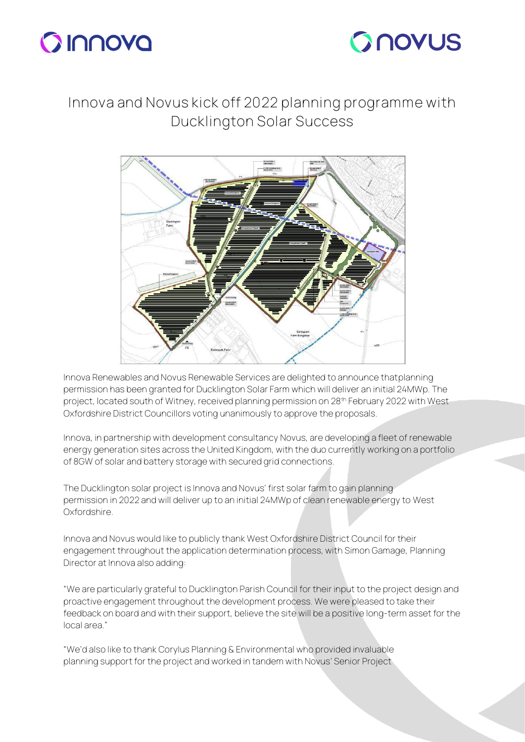



## **Innova and Novus kick off 2022 planning programme with Ducklington Solar Success**



Innova Renewables and Novus Renewable Services are delighted to announce thatplanning permission has been granted for Ducklington Solar Farm which will deliver an initial 24MWp. The project, located south of Witney, received planning permission on 28<sup>th</sup> February 2022 with West Oxfordshire District Councillors voting unanimously to approve the proposals.

Innova, in partnership with development consultancy Novus, are developing a fleet of renewable energy generation sites across the United Kingdom, with the duo currently working on a portfolio of 8GW of solar and battery storage with secured grid connections.

The Ducklington solar project is Innova and Novus' first solar farm to gain planning permission in 2022 and will deliver up to an initial 24MWp of clean renewable energy to West Oxfordshire.

Innova and Novus would like to publicly thank West Oxfordshire District Council for their engagement throughout the application determination process, with Simon Gamage, Planning Director at Innova also adding:

"We are particularly grateful to Ducklington Parish Council for their input to the project design and proactive engagement throughout the development process. We were pleased to take their feedback on board and with their support, believe the site will be a positive long-term asset for the local area."

"We'd also like to thank Corylus Planning & Environmental who provided invaluable planning support for the project and worked in tandem with Novus' Senior Project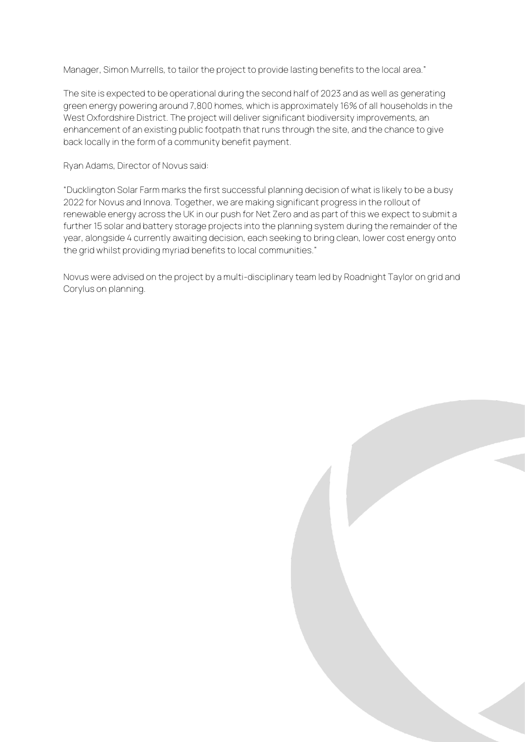Manager, Simon Murrells, to tailor the project to provide lasting benefits to the local area."

The site is expected to be operational during the second half of 2023 and as well as generating green energy powering around 7,800 homes, which is approximately 16% of all households in the West Oxfordshire District. The project will deliver significant biodiversity improvements, an enhancement of an existing public footpath that runs through the site, and the chance to give back locally in the form of a community benefit payment.

Ryan Adams, Director of Novus said:

"Ducklington Solar Farm marks the first successful planning decision of what is likely to be a busy 2022 for Novus and Innova. Together, we are making significant progress in the rollout of renewable energy across the UK in our push for Net Zero and as part of this we expect to submit a further 15 solar and battery storage projects into the planning system during the remainder of the year, alongside 4 currently awaiting decision, each seeking to bring clean, lower cost energy onto the grid whilst providing myriad benefits to local communities."

Novus were advised on the project by a multi-disciplinary team led by Roadnight Taylor on grid and Corylus on planning.